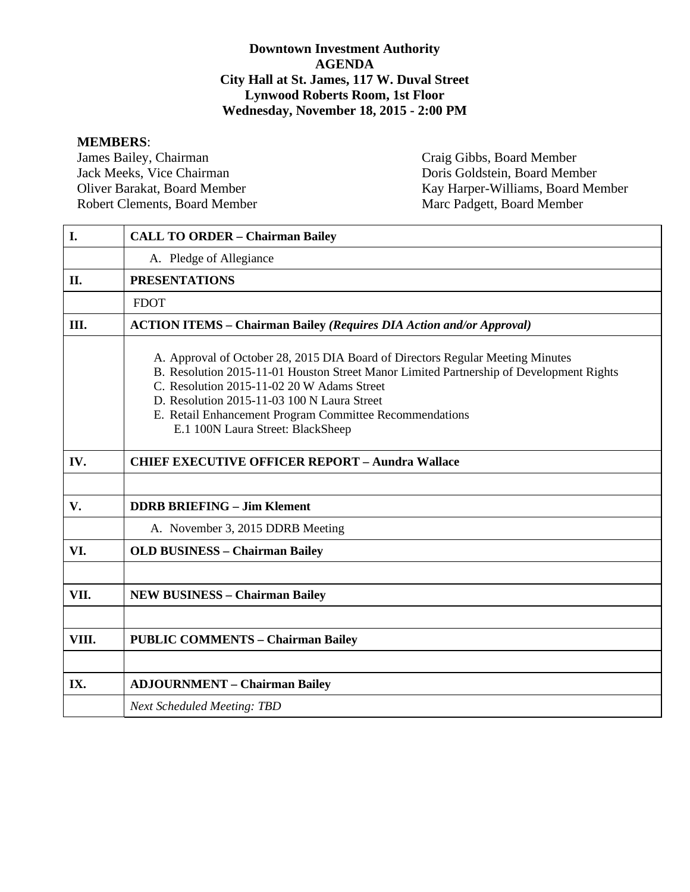#### **Downtown Investment Authority AGENDA City Hall at St. James, 117 W. Duval Street Lynwood Roberts Room, 1st Floor Wednesday, November 18, 2015 - 2:00 PM**

**MEMBERS**: James Bailey, Chairman Craig Gibbs, Board Member<br>
Jack Meeks, Vice Chairman Doris Goldstein, Board Mem Robert Clements, Board Member

Doris Goldstein, Board Member Oliver Barakat, Board Member Kay Harper-Williams, Board Member Robert Clements, Board Member Marc Padgett, Board Member

| I.    | <b>CALL TO ORDER - Chairman Bailey</b>                                                                                                                                                                                                                                                                                                                                 |
|-------|------------------------------------------------------------------------------------------------------------------------------------------------------------------------------------------------------------------------------------------------------------------------------------------------------------------------------------------------------------------------|
|       | A. Pledge of Allegiance                                                                                                                                                                                                                                                                                                                                                |
| II.   | <b>PRESENTATIONS</b>                                                                                                                                                                                                                                                                                                                                                   |
|       | <b>FDOT</b>                                                                                                                                                                                                                                                                                                                                                            |
| Ш.    | <b>ACTION ITEMS - Chairman Bailey (Requires DIA Action and/or Approval)</b>                                                                                                                                                                                                                                                                                            |
|       | A. Approval of October 28, 2015 DIA Board of Directors Regular Meeting Minutes<br>B. Resolution 2015-11-01 Houston Street Manor Limited Partnership of Development Rights<br>C. Resolution 2015-11-02 20 W Adams Street<br>D. Resolution 2015-11-03 100 N Laura Street<br>E. Retail Enhancement Program Committee Recommendations<br>E.1 100N Laura Street: BlackSheep |
| IV.   | <b>CHIEF EXECUTIVE OFFICER REPORT - Aundra Wallace</b>                                                                                                                                                                                                                                                                                                                 |
|       |                                                                                                                                                                                                                                                                                                                                                                        |
| V.    | <b>DDRB BRIEFING - Jim Klement</b>                                                                                                                                                                                                                                                                                                                                     |
|       | A. November 3, 2015 DDRB Meeting                                                                                                                                                                                                                                                                                                                                       |
| VI.   | <b>OLD BUSINESS - Chairman Bailey</b>                                                                                                                                                                                                                                                                                                                                  |
|       |                                                                                                                                                                                                                                                                                                                                                                        |
| VII.  | <b>NEW BUSINESS - Chairman Bailey</b>                                                                                                                                                                                                                                                                                                                                  |
|       |                                                                                                                                                                                                                                                                                                                                                                        |
| VIII. | <b>PUBLIC COMMENTS - Chairman Bailey</b>                                                                                                                                                                                                                                                                                                                               |
|       |                                                                                                                                                                                                                                                                                                                                                                        |
| IX.   | <b>ADJOURNMENT - Chairman Bailey</b>                                                                                                                                                                                                                                                                                                                                   |
|       | <b>Next Scheduled Meeting: TBD</b>                                                                                                                                                                                                                                                                                                                                     |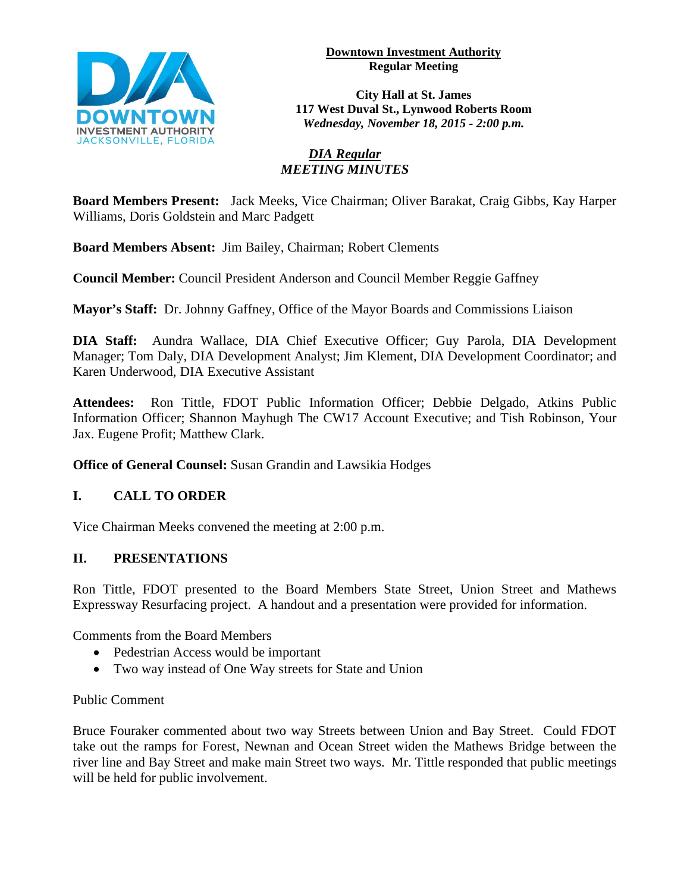

#### **Downtown Investment Authority Regular Meeting**

**City Hall at St. James 117 West Duval St., Lynwood Roberts Room** *Wednesday, November 18, 2015 - 2:00 p.m.*

# *DIA Regular MEETING MINUTES*

**Board Members Present:** Jack Meeks, Vice Chairman; Oliver Barakat, Craig Gibbs, Kay Harper Williams, Doris Goldstein and Marc Padgett

**Board Members Absent:** Jim Bailey, Chairman; Robert Clements

**Council Member:** Council President Anderson and Council Member Reggie Gaffney

**Mayor's Staff:** Dr. Johnny Gaffney, Office of the Mayor Boards and Commissions Liaison

**DIA Staff:** Aundra Wallace, DIA Chief Executive Officer; Guy Parola, DIA Development Manager; Tom Daly, DIA Development Analyst; Jim Klement, DIA Development Coordinator; and Karen Underwood, DIA Executive Assistant

**Attendees:** Ron Tittle, FDOT Public Information Officer; Debbie Delgado, Atkins Public Information Officer; Shannon Mayhugh The CW17 Account Executive; and Tish Robinson, Your Jax. Eugene Profit; Matthew Clark.

**Office of General Counsel:** Susan Grandin and Lawsikia Hodges

# **I. CALL TO ORDER**

Vice Chairman Meeks convened the meeting at 2:00 p.m.

# **II. PRESENTATIONS**

Ron Tittle, FDOT presented to the Board Members State Street, Union Street and Mathews Expressway Resurfacing project. A handout and a presentation were provided for information.

Comments from the Board Members

- Pedestrian Access would be important
- Two way instead of One Way streets for State and Union

## Public Comment

Bruce Fouraker commented about two way Streets between Union and Bay Street. Could FDOT take out the ramps for Forest, Newnan and Ocean Street widen the Mathews Bridge between the river line and Bay Street and make main Street two ways. Mr. Tittle responded that public meetings will be held for public involvement.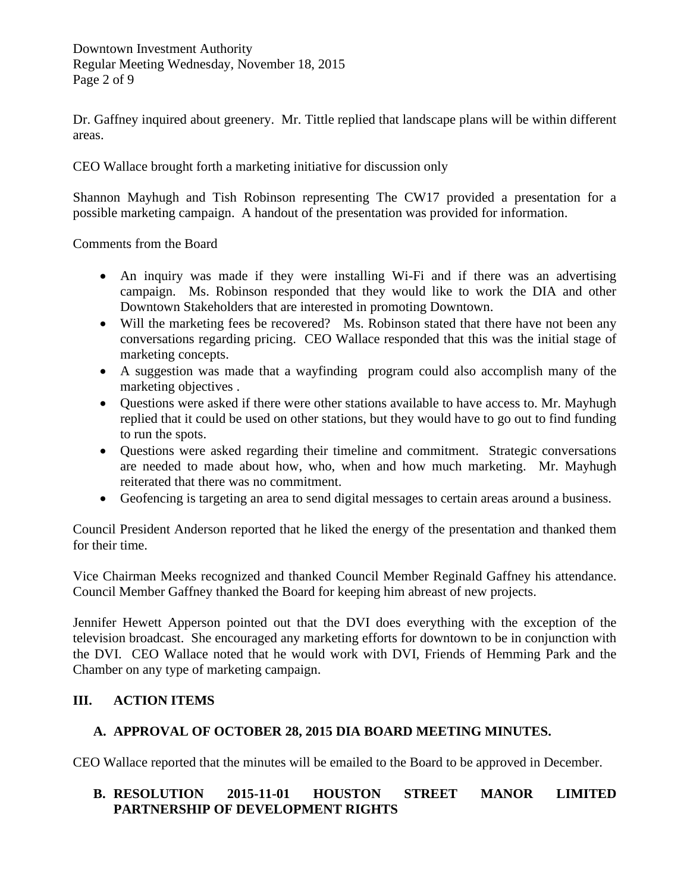Downtown Investment Authority Regular Meeting Wednesday, November 18, 2015 Page 2 of 9

Dr. Gaffney inquired about greenery. Mr. Tittle replied that landscape plans will be within different areas.

CEO Wallace brought forth a marketing initiative for discussion only

Shannon Mayhugh and Tish Robinson representing The CW17 provided a presentation for a possible marketing campaign. A handout of the presentation was provided for information.

Comments from the Board

- An inquiry was made if they were installing Wi-Fi and if there was an advertising campaign. Ms. Robinson responded that they would like to work the DIA and other Downtown Stakeholders that are interested in promoting Downtown.
- Will the marketing fees be recovered? Ms. Robinson stated that there have not been any conversations regarding pricing. CEO Wallace responded that this was the initial stage of marketing concepts.
- A suggestion was made that a wayfinding program could also accomplish many of the marketing objectives .
- Questions were asked if there were other stations available to have access to. Mr. Mayhugh replied that it could be used on other stations, but they would have to go out to find funding to run the spots.
- Questions were asked regarding their timeline and commitment. Strategic conversations are needed to made about how, who, when and how much marketing. Mr. Mayhugh reiterated that there was no commitment.
- Geofencing is targeting an area to send digital messages to certain areas around a business.

Council President Anderson reported that he liked the energy of the presentation and thanked them for their time.

Vice Chairman Meeks recognized and thanked Council Member Reginald Gaffney his attendance. Council Member Gaffney thanked the Board for keeping him abreast of new projects.

Jennifer Hewett Apperson pointed out that the DVI does everything with the exception of the television broadcast. She encouraged any marketing efforts for downtown to be in conjunction with the DVI. CEO Wallace noted that he would work with DVI, Friends of Hemming Park and the Chamber on any type of marketing campaign.

# **III. ACTION ITEMS**

## **A. APPROVAL OF OCTOBER 28, 2015 DIA BOARD MEETING MINUTES.**

CEO Wallace reported that the minutes will be emailed to the Board to be approved in December.

# **B. RESOLUTION 2015-11-01 HOUSTON STREET MANOR LIMITED PARTNERSHIP OF DEVELOPMENT RIGHTS**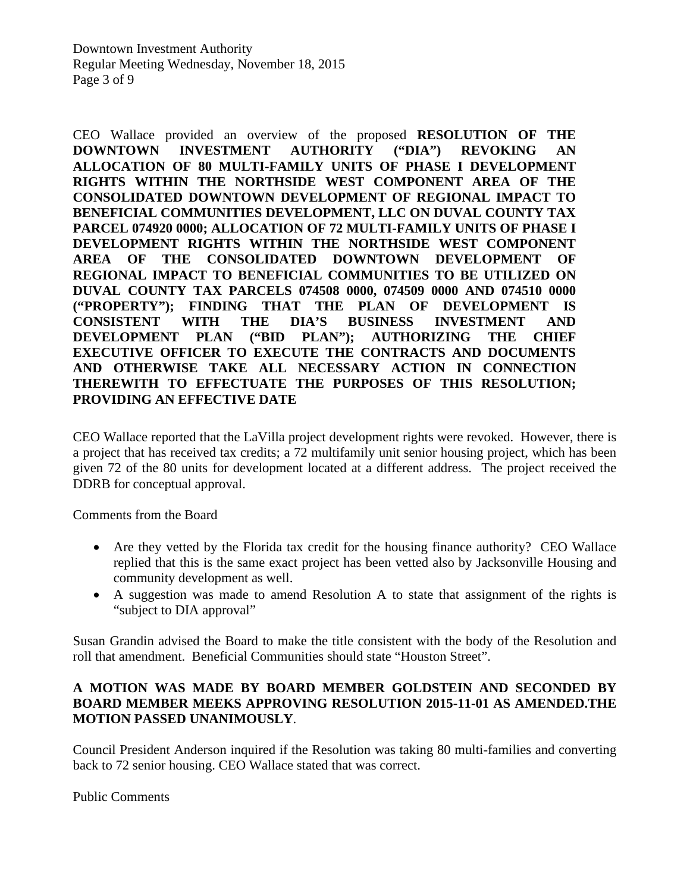CEO Wallace provided an overview of the proposed **RESOLUTION OF THE DOWNTOWN INVESTMENT AUTHORITY ("DIA") REVOKING AN ALLOCATION OF 80 MULTI-FAMILY UNITS OF PHASE I DEVELOPMENT RIGHTS WITHIN THE NORTHSIDE WEST COMPONENT AREA OF THE CONSOLIDATED DOWNTOWN DEVELOPMENT OF REGIONAL IMPACT TO BENEFICIAL COMMUNITIES DEVELOPMENT, LLC ON DUVAL COUNTY TAX PARCEL 074920 0000; ALLOCATION OF 72 MULTI-FAMILY UNITS OF PHASE I DEVELOPMENT RIGHTS WITHIN THE NORTHSIDE WEST COMPONENT AREA OF THE CONSOLIDATED DOWNTOWN DEVELOPMENT OF REGIONAL IMPACT TO BENEFICIAL COMMUNITIES TO BE UTILIZED ON DUVAL COUNTY TAX PARCELS 074508 0000, 074509 0000 AND 074510 0000 ("PROPERTY"); FINDING THAT THE PLAN OF DEVELOPMENT IS CONSISTENT WITH THE DIA'S BUSINESS INVESTMENT AND DEVELOPMENT PLAN ("BID PLAN"); AUTHORIZING THE CHIEF EXECUTIVE OFFICER TO EXECUTE THE CONTRACTS AND DOCUMENTS AND OTHERWISE TAKE ALL NECESSARY ACTION IN CONNECTION THEREWITH TO EFFECTUATE THE PURPOSES OF THIS RESOLUTION; PROVIDING AN EFFECTIVE DATE**

CEO Wallace reported that the LaVilla project development rights were revoked. However, there is a project that has received tax credits; a 72 multifamily unit senior housing project, which has been given 72 of the 80 units for development located at a different address. The project received the DDRB for conceptual approval.

Comments from the Board

- Are they vetted by the Florida tax credit for the housing finance authority? CEO Wallace replied that this is the same exact project has been vetted also by Jacksonville Housing and community development as well.
- A suggestion was made to amend Resolution A to state that assignment of the rights is "subject to DIA approval"

Susan Grandin advised the Board to make the title consistent with the body of the Resolution and roll that amendment. Beneficial Communities should state "Houston Street".

#### **A MOTION WAS MADE BY BOARD MEMBER GOLDSTEIN AND SECONDED BY BOARD MEMBER MEEKS APPROVING RESOLUTION 2015-11-01 AS AMENDED.THE MOTION PASSED UNANIMOUSLY**.

Council President Anderson inquired if the Resolution was taking 80 multi-families and converting back to 72 senior housing. CEO Wallace stated that was correct.

Public Comments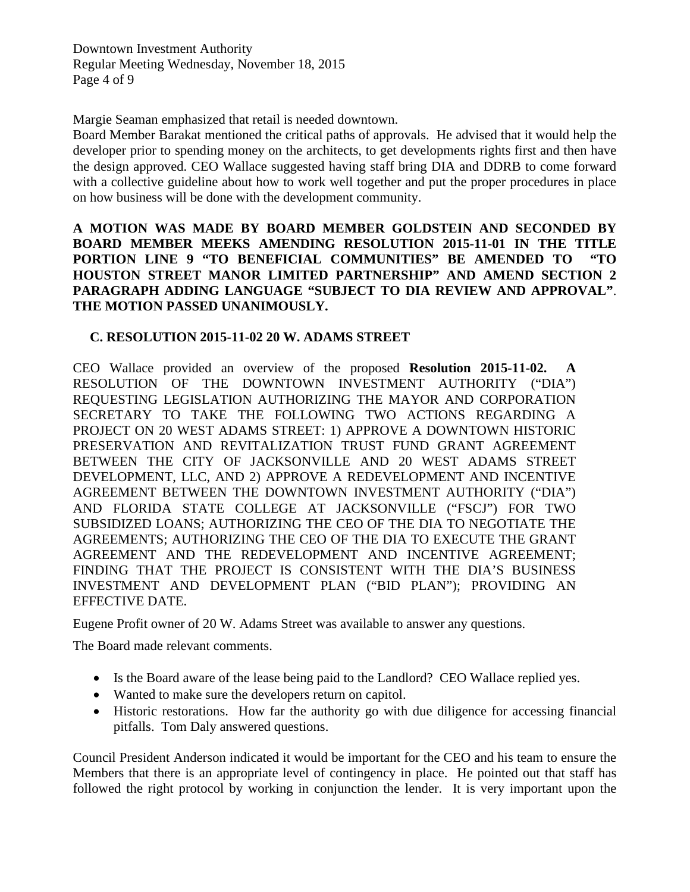Downtown Investment Authority Regular Meeting Wednesday, November 18, 2015 Page 4 of 9

Margie Seaman emphasized that retail is needed downtown.

Board Member Barakat mentioned the critical paths of approvals. He advised that it would help the developer prior to spending money on the architects, to get developments rights first and then have the design approved. CEO Wallace suggested having staff bring DIA and DDRB to come forward with a collective guideline about how to work well together and put the proper procedures in place on how business will be done with the development community.

**A MOTION WAS MADE BY BOARD MEMBER GOLDSTEIN AND SECONDED BY BOARD MEMBER MEEKS AMENDING RESOLUTION 2015-11-01 IN THE TITLE PORTION LINE 9 "TO BENEFICIAL COMMUNITIES" BE AMENDED TO "TO HOUSTON STREET MANOR LIMITED PARTNERSHIP" AND AMEND SECTION 2 PARAGRAPH ADDING LANGUAGE "SUBJECT TO DIA REVIEW AND APPROVAL"**. **THE MOTION PASSED UNANIMOUSLY.** 

#### **C. RESOLUTION 2015-11-02 20 W. ADAMS STREET**

CEO Wallace provided an overview of the proposed **Resolution 2015-11-02. A**  RESOLUTION OF THE DOWNTOWN INVESTMENT AUTHORITY ("DIA") REQUESTING LEGISLATION AUTHORIZING THE MAYOR AND CORPORATION SECRETARY TO TAKE THE FOLLOWING TWO ACTIONS REGARDING A PROJECT ON 20 WEST ADAMS STREET: 1) APPROVE A DOWNTOWN HISTORIC PRESERVATION AND REVITALIZATION TRUST FUND GRANT AGREEMENT BETWEEN THE CITY OF JACKSONVILLE AND 20 WEST ADAMS STREET DEVELOPMENT, LLC, AND 2) APPROVE A REDEVELOPMENT AND INCENTIVE AGREEMENT BETWEEN THE DOWNTOWN INVESTMENT AUTHORITY ("DIA") AND FLORIDA STATE COLLEGE AT JACKSONVILLE ("FSCJ") FOR TWO SUBSIDIZED LOANS; AUTHORIZING THE CEO OF THE DIA TO NEGOTIATE THE AGREEMENTS; AUTHORIZING THE CEO OF THE DIA TO EXECUTE THE GRANT AGREEMENT AND THE REDEVELOPMENT AND INCENTIVE AGREEMENT; FINDING THAT THE PROJECT IS CONSISTENT WITH THE DIA'S BUSINESS INVESTMENT AND DEVELOPMENT PLAN ("BID PLAN"); PROVIDING AN EFFECTIVE DATE.

Eugene Profit owner of 20 W. Adams Street was available to answer any questions.

The Board made relevant comments.

- Is the Board aware of the lease being paid to the Landlord? CEO Wallace replied yes.
- Wanted to make sure the developers return on capitol.
- Historic restorations. How far the authority go with due diligence for accessing financial pitfalls. Tom Daly answered questions.

Council President Anderson indicated it would be important for the CEO and his team to ensure the Members that there is an appropriate level of contingency in place. He pointed out that staff has followed the right protocol by working in conjunction the lender. It is very important upon the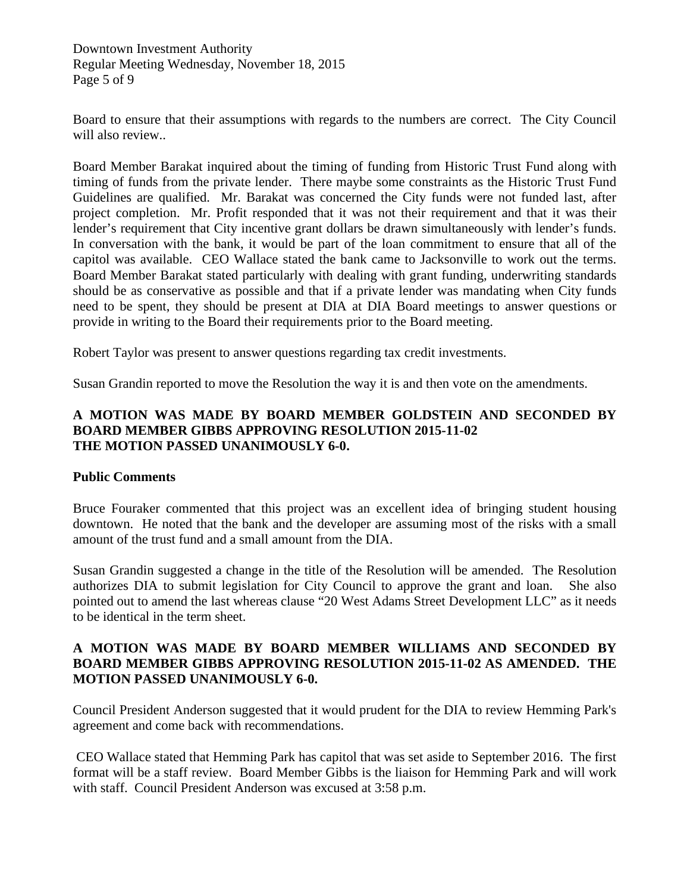Downtown Investment Authority Regular Meeting Wednesday, November 18, 2015 Page 5 of 9

Board to ensure that their assumptions with regards to the numbers are correct. The City Council will also review...

Board Member Barakat inquired about the timing of funding from Historic Trust Fund along with timing of funds from the private lender. There maybe some constraints as the Historic Trust Fund Guidelines are qualified. Mr. Barakat was concerned the City funds were not funded last, after project completion. Mr. Profit responded that it was not their requirement and that it was their lender's requirement that City incentive grant dollars be drawn simultaneously with lender's funds. In conversation with the bank, it would be part of the loan commitment to ensure that all of the capitol was available. CEO Wallace stated the bank came to Jacksonville to work out the terms. Board Member Barakat stated particularly with dealing with grant funding, underwriting standards should be as conservative as possible and that if a private lender was mandating when City funds need to be spent, they should be present at DIA at DIA Board meetings to answer questions or provide in writing to the Board their requirements prior to the Board meeting.

Robert Taylor was present to answer questions regarding tax credit investments.

Susan Grandin reported to move the Resolution the way it is and then vote on the amendments.

#### **A MOTION WAS MADE BY BOARD MEMBER GOLDSTEIN AND SECONDED BY BOARD MEMBER GIBBS APPROVING RESOLUTION 2015-11-02 THE MOTION PASSED UNANIMOUSLY 6-0.**

#### **Public Comments**

Bruce Fouraker commented that this project was an excellent idea of bringing student housing downtown. He noted that the bank and the developer are assuming most of the risks with a small amount of the trust fund and a small amount from the DIA.

Susan Grandin suggested a change in the title of the Resolution will be amended. The Resolution authorizes DIA to submit legislation for City Council to approve the grant and loan. She also pointed out to amend the last whereas clause "20 West Adams Street Development LLC" as it needs to be identical in the term sheet.

#### **A MOTION WAS MADE BY BOARD MEMBER WILLIAMS AND SECONDED BY BOARD MEMBER GIBBS APPROVING RESOLUTION 2015-11-02 AS AMENDED. THE MOTION PASSED UNANIMOUSLY 6-0.**

Council President Anderson suggested that it would prudent for the DIA to review Hemming Park's agreement and come back with recommendations.

CEO Wallace stated that Hemming Park has capitol that was set aside to September 2016. The first format will be a staff review. Board Member Gibbs is the liaison for Hemming Park and will work with staff. Council President Anderson was excused at 3:58 p.m.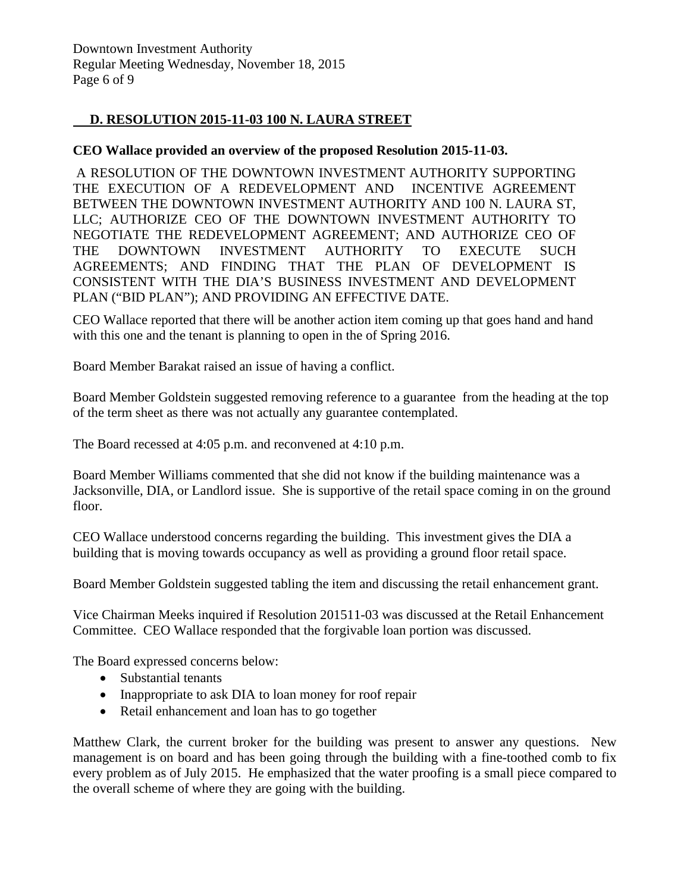# **D. RESOLUTION 2015-11-03 100 N. LAURA STREET**

#### **CEO Wallace provided an overview of the proposed Resolution 2015-11-03.**

A RESOLUTION OF THE DOWNTOWN INVESTMENT AUTHORITY SUPPORTING THE EXECUTION OF A REDEVELOPMENT AND INCENTIVE AGREEMENT BETWEEN THE DOWNTOWN INVESTMENT AUTHORITY AND 100 N. LAURA ST, LLC; AUTHORIZE CEO OF THE DOWNTOWN INVESTMENT AUTHORITY TO NEGOTIATE THE REDEVELOPMENT AGREEMENT; AND AUTHORIZE CEO OF THE DOWNTOWN INVESTMENT AUTHORITY TO EXECUTE SUCH AGREEMENTS; AND FINDING THAT THE PLAN OF DEVELOPMENT IS CONSISTENT WITH THE DIA'S BUSINESS INVESTMENT AND DEVELOPMENT PLAN ("BID PLAN"); AND PROVIDING AN EFFECTIVE DATE.

CEO Wallace reported that there will be another action item coming up that goes hand and hand with this one and the tenant is planning to open in the of Spring 2016.

Board Member Barakat raised an issue of having a conflict.

Board Member Goldstein suggested removing reference to a guarantee from the heading at the top of the term sheet as there was not actually any guarantee contemplated.

The Board recessed at 4:05 p.m. and reconvened at 4:10 p.m.

Board Member Williams commented that she did not know if the building maintenance was a Jacksonville, DIA, or Landlord issue. She is supportive of the retail space coming in on the ground floor.

CEO Wallace understood concerns regarding the building. This investment gives the DIA a building that is moving towards occupancy as well as providing a ground floor retail space.

Board Member Goldstein suggested tabling the item and discussing the retail enhancement grant.

Vice Chairman Meeks inquired if Resolution 201511-03 was discussed at the Retail Enhancement Committee. CEO Wallace responded that the forgivable loan portion was discussed.

The Board expressed concerns below:

- Substantial tenants
- Inappropriate to ask DIA to loan money for roof repair
- Retail enhancement and loan has to go together

Matthew Clark, the current broker for the building was present to answer any questions. New management is on board and has been going through the building with a fine-toothed comb to fix every problem as of July 2015. He emphasized that the water proofing is a small piece compared to the overall scheme of where they are going with the building.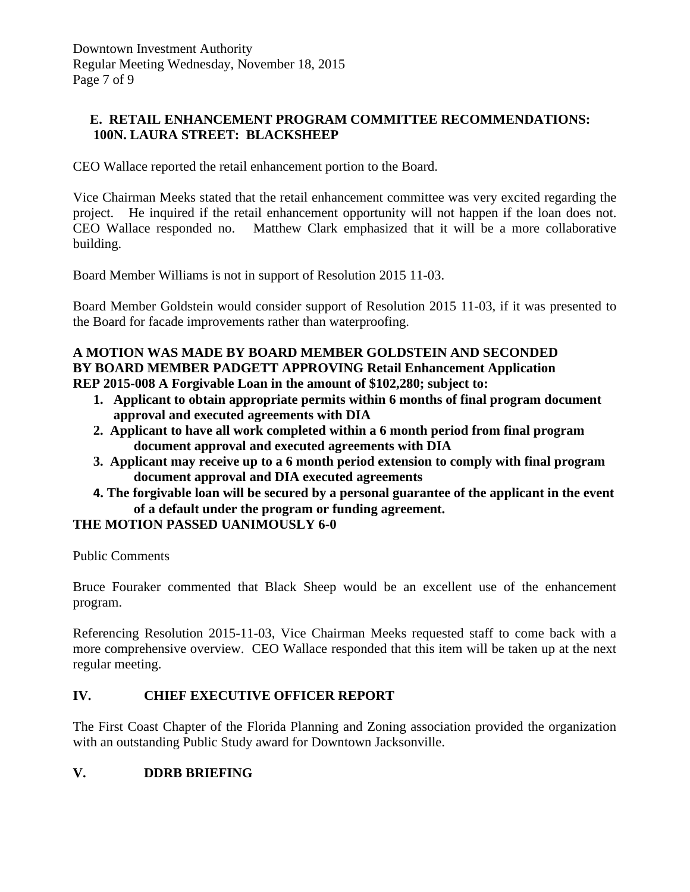## **E. RETAIL ENHANCEMENT PROGRAM COMMITTEE RECOMMENDATIONS: 100N. LAURA STREET: BLACKSHEEP**

CEO Wallace reported the retail enhancement portion to the Board.

Vice Chairman Meeks stated that the retail enhancement committee was very excited regarding the project. He inquired if the retail enhancement opportunity will not happen if the loan does not. CEO Wallace responded no. Matthew Clark emphasized that it will be a more collaborative building.

Board Member Williams is not in support of Resolution 2015 11-03.

Board Member Goldstein would consider support of Resolution 2015 11-03, if it was presented to the Board for facade improvements rather than waterproofing.

#### **A MOTION WAS MADE BY BOARD MEMBER GOLDSTEIN AND SECONDED BY BOARD MEMBER PADGETT APPROVING Retail Enhancement Application REP 2015-008 A Forgivable Loan in the amount of \$102,280; subject to:**

- **1. Applicant to obtain appropriate permits within 6 months of final program document approval and executed agreements with DIA**
- **2. Applicant to have all work completed within a 6 month period from final program document approval and executed agreements with DIA**
- **3. Applicant may receive up to a 6 month period extension to comply with final program document approval and DIA executed agreements**
- **4. The forgivable loan will be secured by a personal guarantee of the applicant in the event of a default under the program or funding agreement.**

## **THE MOTION PASSED UANIMOUSLY 6-0**

Public Comments

Bruce Fouraker commented that Black Sheep would be an excellent use of the enhancement program.

Referencing Resolution 2015-11-03, Vice Chairman Meeks requested staff to come back with a more comprehensive overview. CEO Wallace responded that this item will be taken up at the next regular meeting.

## **IV. CHIEF EXECUTIVE OFFICER REPORT**

The First Coast Chapter of the Florida Planning and Zoning association provided the organization with an outstanding Public Study award for Downtown Jacksonville.

## **V. DDRB BRIEFING**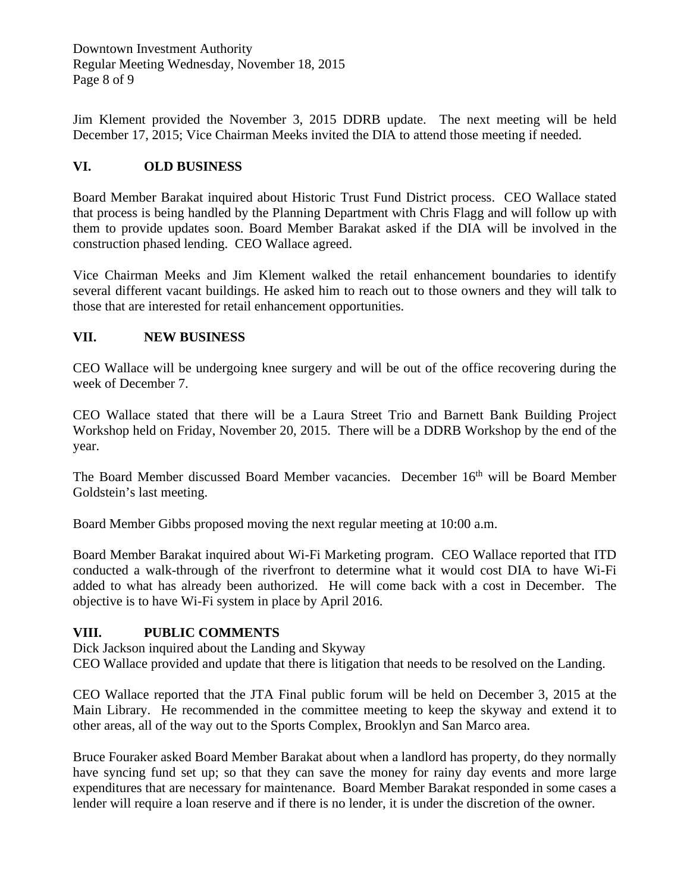Downtown Investment Authority Regular Meeting Wednesday, November 18, 2015 Page 8 of 9

Jim Klement provided the November 3, 2015 DDRB update. The next meeting will be held December 17, 2015; Vice Chairman Meeks invited the DIA to attend those meeting if needed.

# **VI. OLD BUSINESS**

Board Member Barakat inquired about Historic Trust Fund District process. CEO Wallace stated that process is being handled by the Planning Department with Chris Flagg and will follow up with them to provide updates soon. Board Member Barakat asked if the DIA will be involved in the construction phased lending. CEO Wallace agreed.

Vice Chairman Meeks and Jim Klement walked the retail enhancement boundaries to identify several different vacant buildings. He asked him to reach out to those owners and they will talk to those that are interested for retail enhancement opportunities.

# **VII. NEW BUSINESS**

CEO Wallace will be undergoing knee surgery and will be out of the office recovering during the week of December 7.

CEO Wallace stated that there will be a Laura Street Trio and Barnett Bank Building Project Workshop held on Friday, November 20, 2015. There will be a DDRB Workshop by the end of the year.

The Board Member discussed Board Member vacancies. December 16<sup>th</sup> will be Board Member Goldstein's last meeting.

Board Member Gibbs proposed moving the next regular meeting at 10:00 a.m.

Board Member Barakat inquired about Wi-Fi Marketing program. CEO Wallace reported that ITD conducted a walk-through of the riverfront to determine what it would cost DIA to have Wi-Fi added to what has already been authorized. He will come back with a cost in December. The objective is to have Wi-Fi system in place by April 2016.

## **VIII. PUBLIC COMMENTS**

Dick Jackson inquired about the Landing and Skyway

CEO Wallace provided and update that there is litigation that needs to be resolved on the Landing.

CEO Wallace reported that the JTA Final public forum will be held on December 3, 2015 at the Main Library. He recommended in the committee meeting to keep the skyway and extend it to other areas, all of the way out to the Sports Complex, Brooklyn and San Marco area.

Bruce Fouraker asked Board Member Barakat about when a landlord has property, do they normally have syncing fund set up; so that they can save the money for rainy day events and more large expenditures that are necessary for maintenance. Board Member Barakat responded in some cases a lender will require a loan reserve and if there is no lender, it is under the discretion of the owner.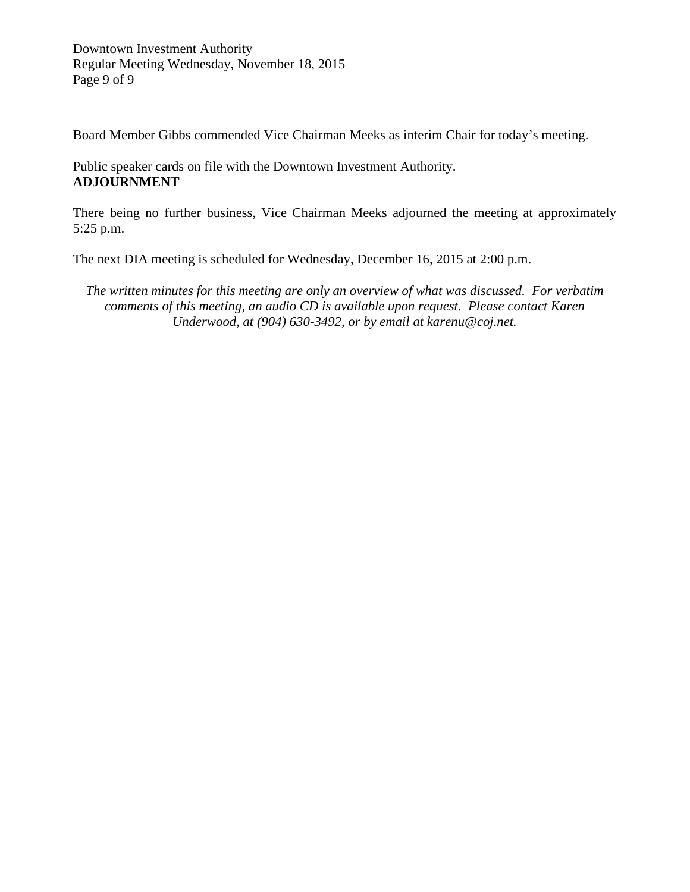Downtown Investment Authority Regular Meeting Wednesday, November 18, 2015 Page 9 of 9

Board Member Gibbs commended Vice Chairman Meeks as interim Chair for today's meeting.

Public speaker cards on file with the Downtown Investment Authority. **ADJOURNMENT**

There being no further business, Vice Chairman Meeks adjourned the meeting at approximately 5:25 p.m.

The next DIA meeting is scheduled for Wednesday, December 16, 2015 at 2:00 p.m.

*The written minutes for this meeting are only an overview of what was discussed. For verbatim comments of this meeting, an audio CD is available upon request. Please contact Karen Underwood, at (904) 630-3492, or by email at karenu@coj.net.*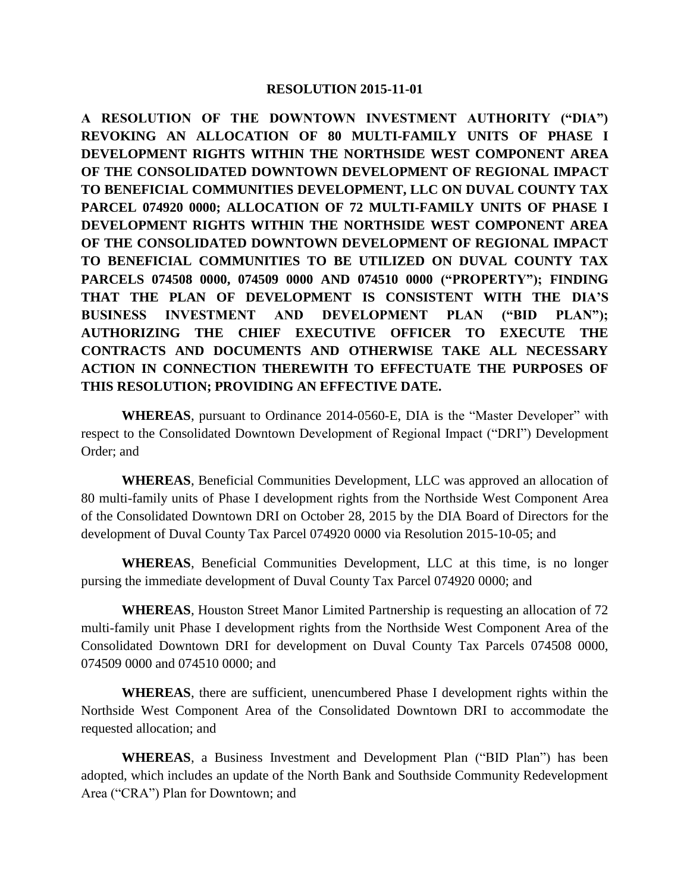#### **RESOLUTION 2015-11-01**

**A RESOLUTION OF THE DOWNTOWN INVESTMENT AUTHORITY ("DIA") REVOKING AN ALLOCATION OF 80 MULTI-FAMILY UNITS OF PHASE I DEVELOPMENT RIGHTS WITHIN THE NORTHSIDE WEST COMPONENT AREA OF THE CONSOLIDATED DOWNTOWN DEVELOPMENT OF REGIONAL IMPACT TO BENEFICIAL COMMUNITIES DEVELOPMENT, LLC ON DUVAL COUNTY TAX PARCEL 074920 0000; ALLOCATION OF 72 MULTI-FAMILY UNITS OF PHASE I DEVELOPMENT RIGHTS WITHIN THE NORTHSIDE WEST COMPONENT AREA OF THE CONSOLIDATED DOWNTOWN DEVELOPMENT OF REGIONAL IMPACT TO BENEFICIAL COMMUNITIES TO BE UTILIZED ON DUVAL COUNTY TAX PARCELS 074508 0000, 074509 0000 AND 074510 0000 ("PROPERTY"); FINDING THAT THE PLAN OF DEVELOPMENT IS CONSISTENT WITH THE DIA'S BUSINESS INVESTMENT AND DEVELOPMENT PLAN ("BID PLAN"); AUTHORIZING THE CHIEF EXECUTIVE OFFICER TO EXECUTE THE CONTRACTS AND DOCUMENTS AND OTHERWISE TAKE ALL NECESSARY ACTION IN CONNECTION THEREWITH TO EFFECTUATE THE PURPOSES OF THIS RESOLUTION; PROVIDING AN EFFECTIVE DATE.**

**WHEREAS**, pursuant to Ordinance 2014-0560-E, DIA is the "Master Developer" with respect to the Consolidated Downtown Development of Regional Impact ("DRI") Development Order; and

**WHEREAS**, Beneficial Communities Development, LLC was approved an allocation of 80 multi-family units of Phase I development rights from the Northside West Component Area of the Consolidated Downtown DRI on October 28, 2015 by the DIA Board of Directors for the development of Duval County Tax Parcel 074920 0000 via Resolution 2015-10-05; and

**WHEREAS**, Beneficial Communities Development, LLC at this time, is no longer pursing the immediate development of Duval County Tax Parcel 074920 0000; and

**WHEREAS**, Houston Street Manor Limited Partnership is requesting an allocation of 72 multi-family unit Phase I development rights from the Northside West Component Area of the Consolidated Downtown DRI for development on Duval County Tax Parcels 074508 0000, 074509 0000 and 074510 0000; and

**WHEREAS**, there are sufficient, unencumbered Phase I development rights within the Northside West Component Area of the Consolidated Downtown DRI to accommodate the requested allocation; and

**WHEREAS**, a Business Investment and Development Plan ("BID Plan") has been adopted, which includes an update of the North Bank and Southside Community Redevelopment Area ("CRA") Plan for Downtown; and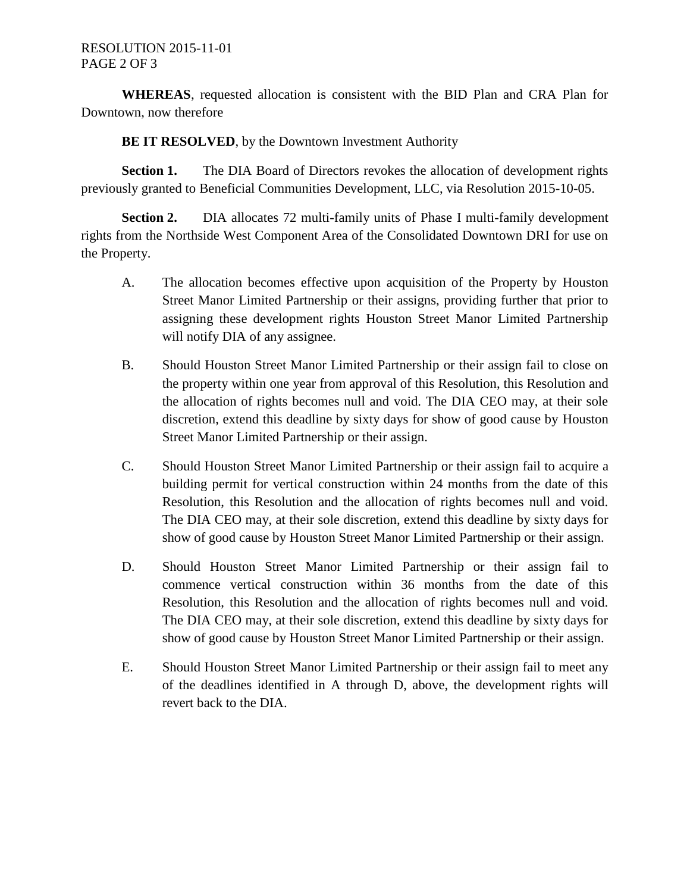**WHEREAS**, requested allocation is consistent with the BID Plan and CRA Plan for Downtown, now therefore

**BE IT RESOLVED**, by the Downtown Investment Authority

**Section 1.** The DIA Board of Directors revokes the allocation of development rights previously granted to Beneficial Communities Development, LLC, via Resolution 2015-10-05.

**Section 2.** DIA allocates 72 multi-family units of Phase I multi-family development rights from the Northside West Component Area of the Consolidated Downtown DRI for use on the Property.

- A. The allocation becomes effective upon acquisition of the Property by Houston Street Manor Limited Partnership or their assigns, providing further that prior to assigning these development rights Houston Street Manor Limited Partnership will notify DIA of any assignee.
- B. Should Houston Street Manor Limited Partnership or their assign fail to close on the property within one year from approval of this Resolution, this Resolution and the allocation of rights becomes null and void. The DIA CEO may, at their sole discretion, extend this deadline by sixty days for show of good cause by Houston Street Manor Limited Partnership or their assign.
- C. Should Houston Street Manor Limited Partnership or their assign fail to acquire a building permit for vertical construction within 24 months from the date of this Resolution, this Resolution and the allocation of rights becomes null and void. The DIA CEO may, at their sole discretion, extend this deadline by sixty days for show of good cause by Houston Street Manor Limited Partnership or their assign.
- D. Should Houston Street Manor Limited Partnership or their assign fail to commence vertical construction within 36 months from the date of this Resolution, this Resolution and the allocation of rights becomes null and void. The DIA CEO may, at their sole discretion, extend this deadline by sixty days for show of good cause by Houston Street Manor Limited Partnership or their assign.
- E. Should Houston Street Manor Limited Partnership or their assign fail to meet any of the deadlines identified in A through D, above, the development rights will revert back to the DIA.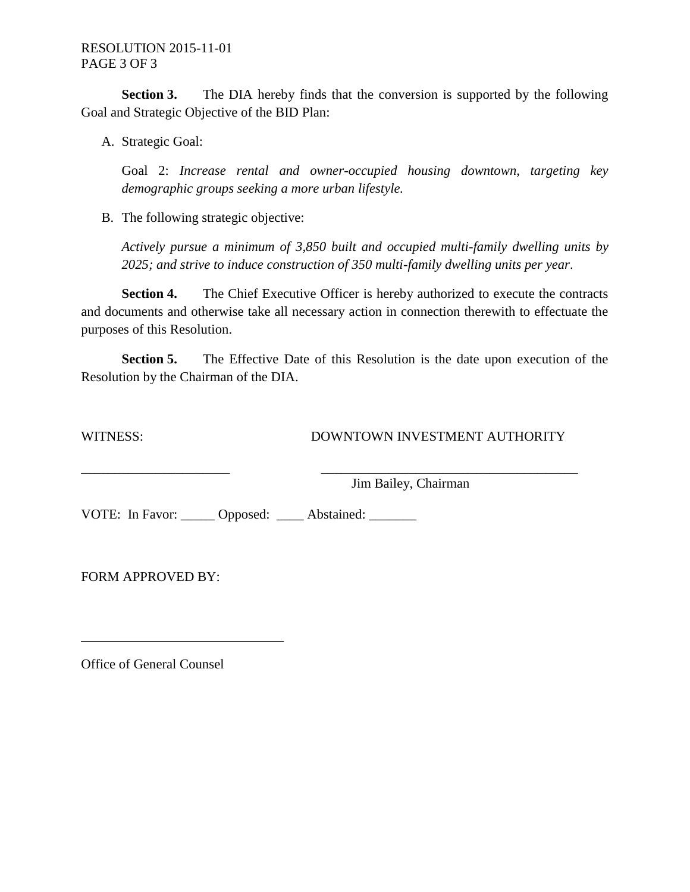**Section 3.** The DIA hereby finds that the conversion is supported by the following Goal and Strategic Objective of the BID Plan:

A. Strategic Goal:

Goal 2: *Increase rental and owner-occupied housing downtown, targeting key demographic groups seeking a more urban lifestyle.*

B. The following strategic objective:

*Actively pursue a minimum of 3,850 built and occupied multi-family dwelling units by 2025; and strive to induce construction of 350 multi-family dwelling units per year*.

**Section 4.** The Chief Executive Officer is hereby authorized to execute the contracts and documents and otherwise take all necessary action in connection therewith to effectuate the purposes of this Resolution.

**Section 5.** The Effective Date of this Resolution is the date upon execution of the Resolution by the Chairman of the DIA.

\_\_\_\_\_\_\_\_\_\_\_\_\_\_\_\_\_\_\_\_\_\_ \_\_\_\_\_\_\_\_\_\_\_\_\_\_\_\_\_\_\_\_\_\_\_\_\_\_\_\_\_\_\_\_\_\_\_\_\_\_

WITNESS: DOWNTOWN INVESTMENT AUTHORITY

Jim Bailey, Chairman

VOTE: In Favor: Opposed: Abstained:

FORM APPROVED BY:

Office of General Counsel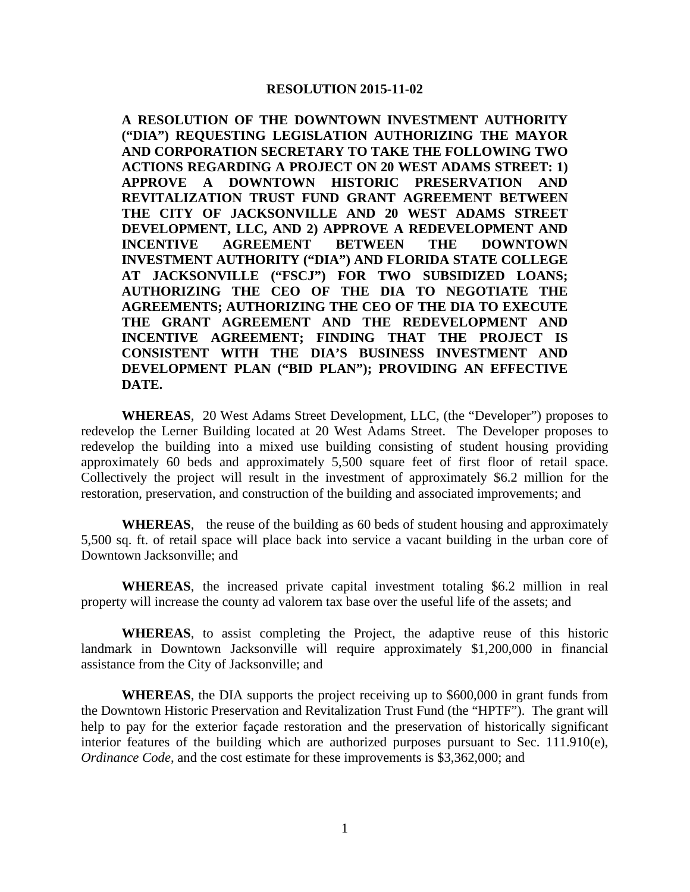#### **RESOLUTION 2015-11-02**

**A RESOLUTION OF THE DOWNTOWN INVESTMENT AUTHORITY ("DIA") REQUESTING LEGISLATION AUTHORIZING THE MAYOR AND CORPORATION SECRETARY TO TAKE THE FOLLOWING TWO ACTIONS REGARDING A PROJECT ON 20 WEST ADAMS STREET: 1) APPROVE A DOWNTOWN HISTORIC PRESERVATION AND REVITALIZATION TRUST FUND GRANT AGREEMENT BETWEEN THE CITY OF JACKSONVILLE AND 20 WEST ADAMS STREET DEVELOPMENT, LLC, AND 2) APPROVE A REDEVELOPMENT AND INCENTIVE AGREEMENT BETWEEN THE DOWNTOWN INVESTMENT AUTHORITY ("DIA") AND FLORIDA STATE COLLEGE AT JACKSONVILLE ("FSCJ") FOR TWO SUBSIDIZED LOANS; AUTHORIZING THE CEO OF THE DIA TO NEGOTIATE THE AGREEMENTS; AUTHORIZING THE CEO OF THE DIA TO EXECUTE THE GRANT AGREEMENT AND THE REDEVELOPMENT AND INCENTIVE AGREEMENT; FINDING THAT THE PROJECT IS CONSISTENT WITH THE DIA'S BUSINESS INVESTMENT AND DEVELOPMENT PLAN ("BID PLAN"); PROVIDING AN EFFECTIVE DATE.**

**WHEREAS**, 20 West Adams Street Development, LLC, (the "Developer") proposes to redevelop the Lerner Building located at 20 West Adams Street. The Developer proposes to redevelop the building into a mixed use building consisting of student housing providing approximately 60 beds and approximately 5,500 square feet of first floor of retail space. Collectively the project will result in the investment of approximately \$6.2 million for the restoration, preservation, and construction of the building and associated improvements; and

**WHEREAS**, the reuse of the building as 60 beds of student housing and approximately 5,500 sq. ft. of retail space will place back into service a vacant building in the urban core of Downtown Jacksonville; and

**WHEREAS**, the increased private capital investment totaling \$6.2 million in real property will increase the county ad valorem tax base over the useful life of the assets; and

**WHEREAS**, to assist completing the Project, the adaptive reuse of this historic landmark in Downtown Jacksonville will require approximately \$1,200,000 in financial assistance from the City of Jacksonville; and

**WHEREAS**, the DIA supports the project receiving up to \$600,000 in grant funds from the Downtown Historic Preservation and Revitalization Trust Fund (the "HPTF"). The grant will help to pay for the exterior façade restoration and the preservation of historically significant interior features of the building which are authorized purposes pursuant to Sec. 111.910(e), *Ordinance Code*, and the cost estimate for these improvements is \$3,362,000; and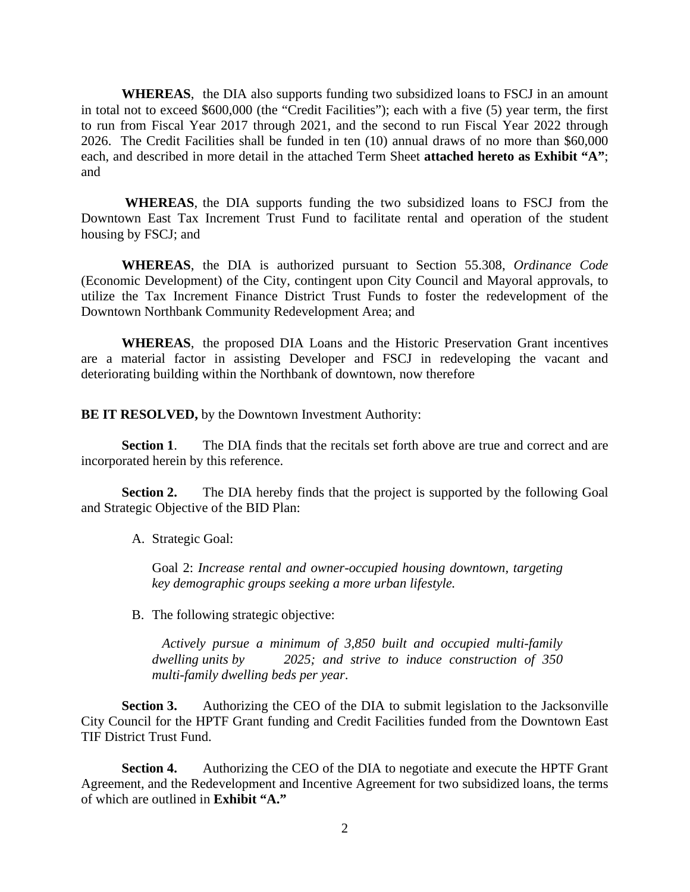**WHEREAS**, the DIA also supports funding two subsidized loans to FSCJ in an amount in total not to exceed \$600,000 (the "Credit Facilities"); each with a five (5) year term, the first to run from Fiscal Year 2017 through 2021, and the second to run Fiscal Year 2022 through 2026. The Credit Facilities shall be funded in ten (10) annual draws of no more than \$60,000 each, and described in more detail in the attached Term Sheet **attached hereto as Exhibit "A"**; and

**WHEREAS**, the DIA supports funding the two subsidized loans to FSCJ from the Downtown East Tax Increment Trust Fund to facilitate rental and operation of the student housing by FSCJ; and

**WHEREAS**, the DIA is authorized pursuant to Section 55.308, *Ordinance Code* (Economic Development) of the City, contingent upon City Council and Mayoral approvals, to utilize the Tax Increment Finance District Trust Funds to foster the redevelopment of the Downtown Northbank Community Redevelopment Area; and

**WHEREAS**, the proposed DIA Loans and the Historic Preservation Grant incentives are a material factor in assisting Developer and FSCJ in redeveloping the vacant and deteriorating building within the Northbank of downtown, now therefore

**BE IT RESOLVED,** by the Downtown Investment Authority:

**Section 1.** The DIA finds that the recitals set forth above are true and correct and are incorporated herein by this reference.

**Section 2.** The DIA hereby finds that the project is supported by the following Goal and Strategic Objective of the BID Plan:

A. Strategic Goal:

Goal 2: *Increase rental and owner-occupied housing downtown, targeting key demographic groups seeking a more urban lifestyle.*

B. The following strategic objective:

*Actively pursue a minimum of 3,850 built and occupied multi-family dwelling units by 2025; and strive to induce construction of 350 multi-family dwelling beds per year*.

**Section 3.** Authorizing the CEO of the DIA to submit legislation to the Jacksonville City Council for the HPTF Grant funding and Credit Facilities funded from the Downtown East TIF District Trust Fund.

**Section 4.** Authorizing the CEO of the DIA to negotiate and execute the HPTF Grant Agreement, and the Redevelopment and Incentive Agreement for two subsidized loans, the terms of which are outlined in **Exhibit "A."**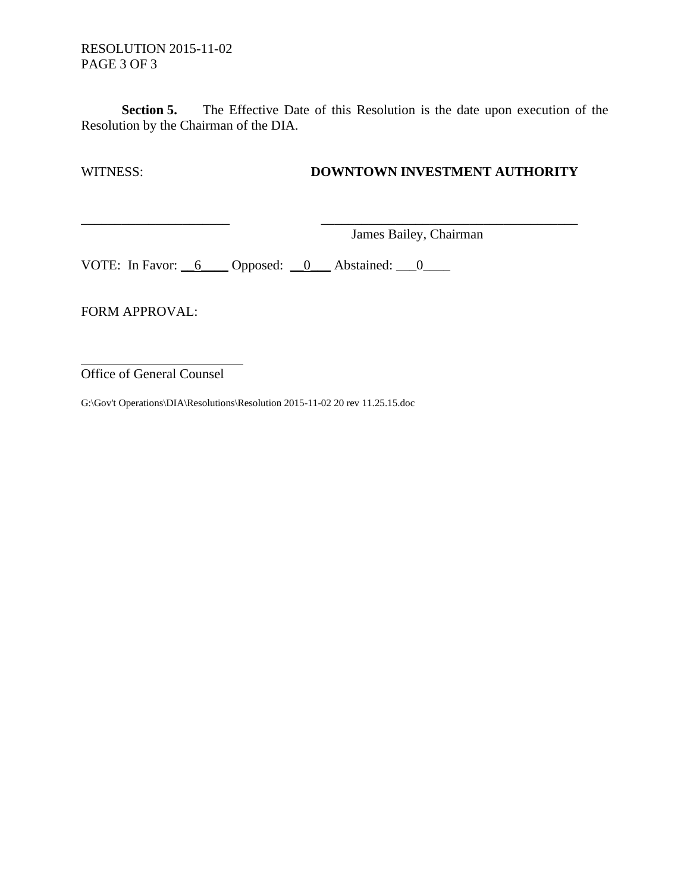**Section 5.** The Effective Date of this Resolution is the date upon execution of the Resolution by the Chairman of the DIA.

\_\_\_\_\_\_\_\_\_\_\_\_\_\_\_\_\_\_\_\_\_\_ \_\_\_\_\_\_\_\_\_\_\_\_\_\_\_\_\_\_\_\_\_\_\_\_\_\_\_\_\_\_\_\_\_\_\_\_\_\_

# WITNESS: **DOWNTOWN INVESTMENT AUTHORITY**

James Bailey, Chairman

VOTE: In Favor:  $\underline{\hspace{1cm}} 6$  Opposed:  $\underline{\hspace{1cm}} 0$  Abstained:  $\underline{\hspace{1cm}} 0$ 

FORM APPROVAL:

Office of General Counsel

G:\Gov't Operations\DIA\Resolutions\Resolution 2015-11-02 20 rev 11.25.15.doc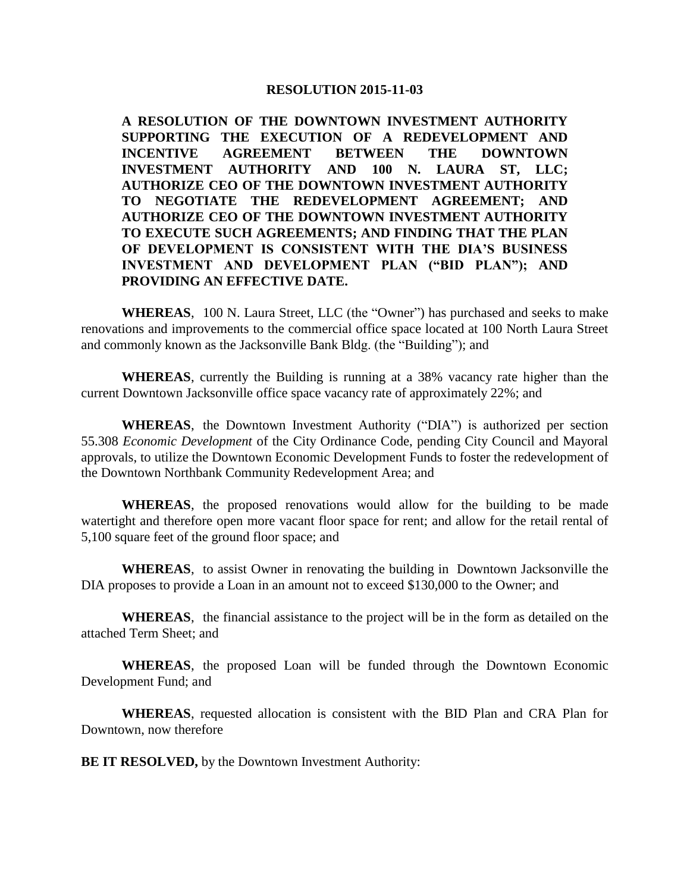#### **RESOLUTION 2015-11-03**

**A RESOLUTION OF THE DOWNTOWN INVESTMENT AUTHORITY SUPPORTING THE EXECUTION OF A REDEVELOPMENT AND INCENTIVE AGREEMENT BETWEEN THE DOWNTOWN INVESTMENT AUTHORITY AND 100 N. LAURA ST, LLC; AUTHORIZE CEO OF THE DOWNTOWN INVESTMENT AUTHORITY TO NEGOTIATE THE REDEVELOPMENT AGREEMENT; AND AUTHORIZE CEO OF THE DOWNTOWN INVESTMENT AUTHORITY TO EXECUTE SUCH AGREEMENTS; AND FINDING THAT THE PLAN OF DEVELOPMENT IS CONSISTENT WITH THE DIA'S BUSINESS INVESTMENT AND DEVELOPMENT PLAN ("BID PLAN"); AND PROVIDING AN EFFECTIVE DATE.** 

**WHEREAS**, 100 N. Laura Street, LLC (the "Owner") has purchased and seeks to make renovations and improvements to the commercial office space located at 100 North Laura Street and commonly known as the Jacksonville Bank Bldg. (the "Building"); and

**WHEREAS**, currently the Building is running at a 38% vacancy rate higher than the current Downtown Jacksonville office space vacancy rate of approximately 22%; and

**WHEREAS**, the Downtown Investment Authority ("DIA") is authorized per section 55.308 *Economic Development* of the City Ordinance Code, pending City Council and Mayoral approvals, to utilize the Downtown Economic Development Funds to foster the redevelopment of the Downtown Northbank Community Redevelopment Area; and

**WHEREAS**, the proposed renovations would allow for the building to be made watertight and therefore open more vacant floor space for rent; and allow for the retail rental of 5,100 square feet of the ground floor space; and

**WHEREAS**, to assist Owner in renovating the building in Downtown Jacksonville the DIA proposes to provide a Loan in an amount not to exceed \$130,000 to the Owner; and

**WHEREAS**, the financial assistance to the project will be in the form as detailed on the attached Term Sheet; and

**WHEREAS**, the proposed Loan will be funded through the Downtown Economic Development Fund; and

**WHEREAS**, requested allocation is consistent with the BID Plan and CRA Plan for Downtown, now therefore

**BE IT RESOLVED,** by the Downtown Investment Authority: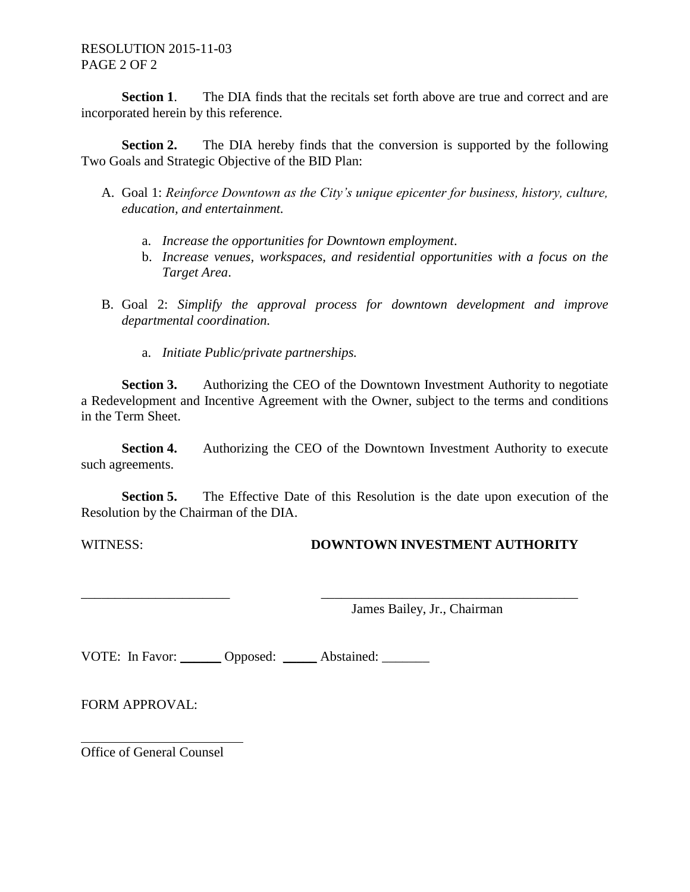RESOLUTION 2015-11-03 PAGE 2 OF 2

**Section 1.** The DIA finds that the recitals set forth above are true and correct and are incorporated herein by this reference.

**Section 2.** The DIA hereby finds that the conversion is supported by the following Two Goals and Strategic Objective of the BID Plan:

- A. Goal 1: *Reinforce Downtown as the City's unique epicenter for business, history, culture, education, and entertainment.*
	- a. *Increase the opportunities for Downtown employment*.
	- b. *Increase venues, workspaces, and residential opportunities with a focus on the Target Area*.
- B. Goal 2: *Simplify the approval process for downtown development and improve departmental coordination.*
	- a. *Initiate Public/private partnerships.*

**Section 3.** Authorizing the CEO of the Downtown Investment Authority to negotiate a Redevelopment and Incentive Agreement with the Owner, subject to the terms and conditions in the Term Sheet.

**Section 4.** Authorizing the CEO of the Downtown Investment Authority to execute such agreements.

**Section 5.** The Effective Date of this Resolution is the date upon execution of the Resolution by the Chairman of the DIA.

\_\_\_\_\_\_\_\_\_\_\_\_\_\_\_\_\_\_\_\_\_\_ \_\_\_\_\_\_\_\_\_\_\_\_\_\_\_\_\_\_\_\_\_\_\_\_\_\_\_\_\_\_\_\_\_\_\_\_\_\_

## WITNESS: **DOWNTOWN INVESTMENT AUTHORITY**

James Bailey, Jr., Chairman

VOTE: In Favor: Opposed: Abstained:

FORM APPROVAL:

Office of General Counsel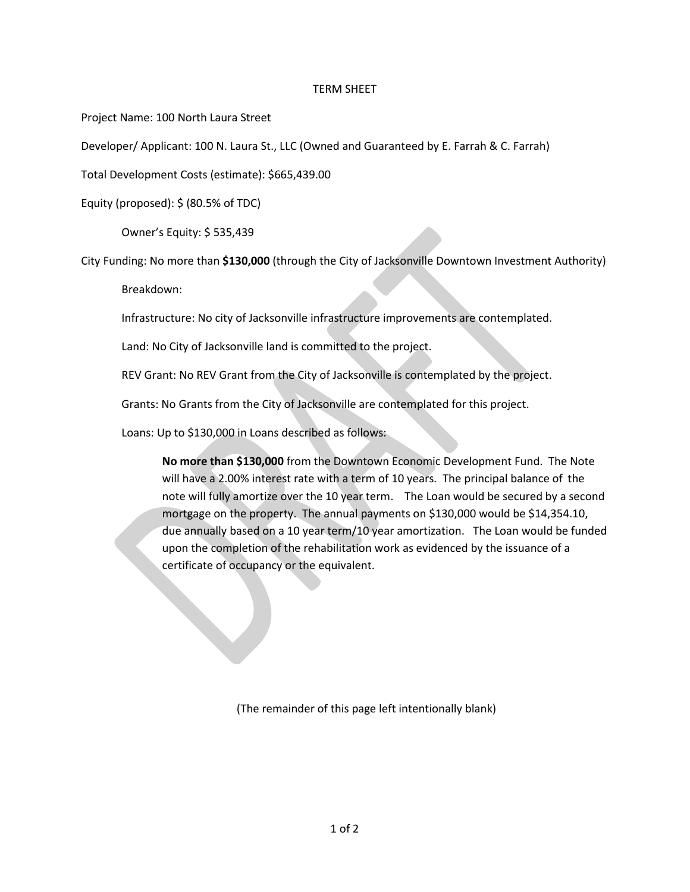#### TERM SHEET

Project Name: 100 North Laura Street

Developer/ Applicant: 100 N. Laura St., LLC (Owned and Guaranteed by E. Farrah & C. Farrah)

Total Development Costs (estimate): \$665,439.00

Equity (proposed): \$ (80.5% of TDC)

Owner's Equity: \$ 535,439

City Funding: No more than **\$130,000** (through the City of Jacksonville Downtown Investment Authority)

Breakdown:

Infrastructure: No city of Jacksonville infrastructure improvements are contemplated.

Land: No City of Jacksonville land is committed to the project.

REV Grant: No REV Grant from the City of Jacksonville is contemplated by the project.

Grants: No Grants from the City of Jacksonville are contemplated for this project.

Loans: Up to \$130,000 in Loans described as follows:

**No more than \$130,000** from the Downtown Economic Development Fund. The Note will have a 2.00% interest rate with a term of 10 years. The principal balance of the note will fully amortize over the 10 year term. The Loan would be secured by a second mortgage on the property. The annual payments on \$130,000 would be \$14,354.10, due annually based on a 10 year term/10 year amortization. The Loan would be funded upon the completion of the rehabilitation work as evidenced by the issuance of a certificate of occupancy or the equivalent.

(The remainder of this page left intentionally blank)